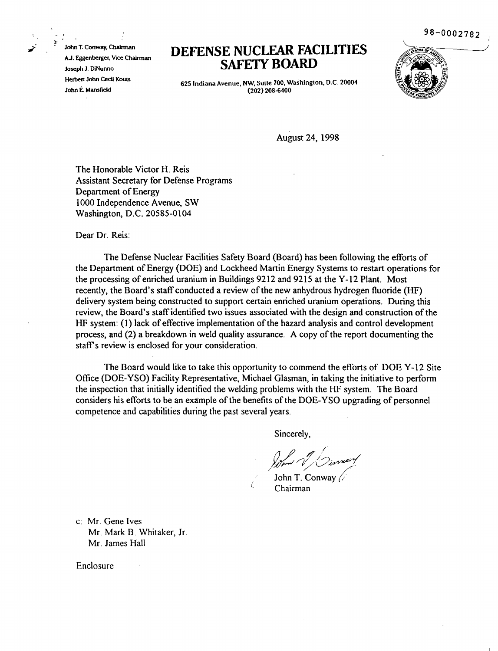98-0002782 ,

John T. Conway, Chairman AJ. Eggenberger. Vice Chairman Joseph J. DiNunno Herbert John CecU Kouts John E. Mansfield

 $\sim$ 

## **DEFENSE NUCLEAR FACILITIES SAFETY BOARD**



625 Indiana Avenue, NW, Suite 700, Washington, D.C. 20004 (202) 208-6400

August 24, 1998

The Honorable Victor H. Reis Assistant Secretary for Defense Programs Department of Energy 1000 Independence Avenue, SW Washington, D.C. 20585-0104

Dear Dr. Reis:

The Defense Nuclear Facilities Safety Board (Board) has been following the efforts of the Department of Energy (DOE) and Lockheed Martin Energy Systems to restart operations for the processing of enriched uranium in Buildings 9212 and 9215 at the Y-12 Plant. Most recently, the Board's staff conducted a review of the new anhydrous hydrogen fluoride (HF) delivery system being constructed to support certain enriched uranium operations. During this review, the Board's staff identified two issues associated with the design and construction of the HF system: (1) lack of effective implementation of the hazard analysis and control development process, and (2) a breakdown in weld quality assurance. A copy of the report documenting the staff's review is enclosed for your consideration.

The Board would like to take this opportunity to commend the efforts of DOE Y-12 Site Office (DOE-YSO) Facility Representative, Michael Glasman, in taking the initiative to perform the inspection that initially identified the welding problems with the HF system. The Board considers his efforts to be an example of the benefits of the DOE-YSO upgrading of personnel competence and capabilities during the past several years.

(

Sincerely,

I <sup>11</sup> *j?* ///~) <sup>J</sup> M"';..-' /"i/ "v~/7  $\frac{1}{\sqrt{N}}$ 

John T. Conway  $\sqrt{2}$ Chairman

c: Mr. Gene Ives Mr. Mark B. Whitaker, Ir. Mr. James Hall

Enclosure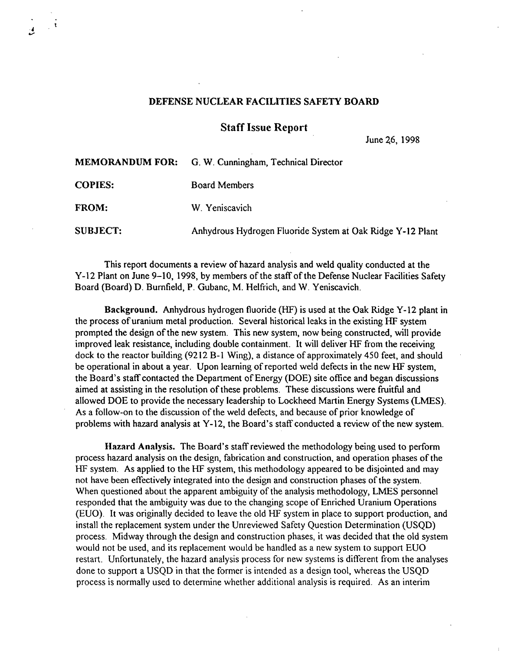## DEFENSE NUCLEAR FACILITIES SAFETY BOARD

 $\ddot{\phantom{1}}$ 

Staff Issue Report

June 26, 1998

|                 | <b>MEMORANDUM FOR:</b> G. W. Cunningham, Technical Director |
|-----------------|-------------------------------------------------------------|
| <b>COPIES:</b>  | <b>Board Members</b>                                        |
| <b>FROM:</b>    | W. Yeniscavich                                              |
| <b>SUBJECT:</b> | Anhydrous Hydrogen Fluoride System at Oak Ridge Y-12 Plant  |

This report documents a review of hazard analysis and weld quality conducted at the Y-12 Plant on June 9-10, 1998, by members of the staff of the Defense Nuclear Facilities Safety Board (Board) D. Burnfield, P. Gubanc, M. Helfrich, and W. Yeniscavich.

Background. Anhydrous hydrogen fluoride (HF) is used at the Oak Ridge Y-12 plant in the process of uranium metal production. Several historical leaks in the existing HF system prompted the design of the new system. This new system, now being constructed, will provide improved leak resistance, including double containment. It will deliver HF from the receiving dock to the reactor building (9212 B-1 Wing), a distance of approximately 450 feet, and should be operational in about a year. Upon learning of reported weld defects in the new HF system, the Board's staff contacted the Department of Energy (DOE) site office and began discussions aimed at assisting in the resolution of these problems. These discussions were fruitful and allowed DOE to provide the necessary leadership to Lockheed Martin Energy Systems (LMES). As a follow-on to the discussion of the weld defects, and because of prior knowledge of problems with hazard analysis at Y-12, the Board's staff conducted a review of the new system.

Hazard Analysis. The Board's staffreviewed the methodology being used to perform process hazard analysis on the design, fabrication and construction, and operation phases ofthe HF system. As applied to the HF system, this methodology appeared to be disjointed and may not have been effectively integrated into the design and construction phases of the system. When questioned about the apparent ambiguity of the analysis methodology, LMES personnel responded that the ambiguity was due to the changing scope of Enriched Uranium Operations (EUO). It was originally decided to leave the old HF system in place to support production, and install the replacement system under the Unreviewed Safety Question Determination (USQD) process. Midway through the design and construction phases, it was decided that the old system would not be used, and its replacement would be handled as a new system to support EUO restart. Unfortunately, the hazard analysis process for new systems is different from the analyses done to support a USQD in that the former is intended as a design tool, whereas the USQD process is normally used to determine whether additional analysis is required. As an interim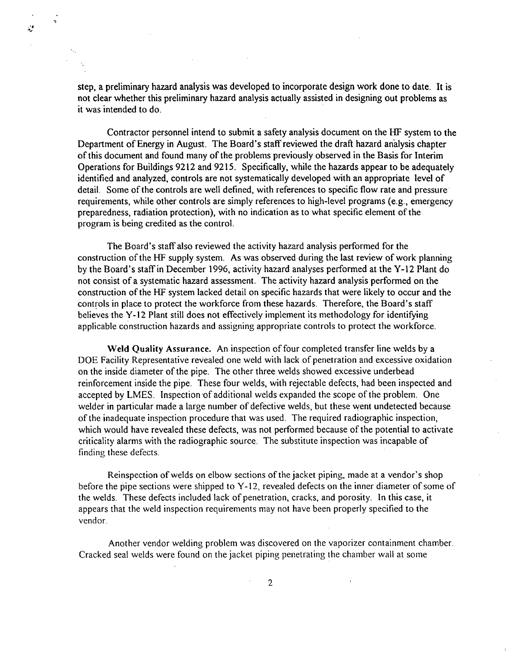X)

step, a preliminary hazard analysis was developed to incorporate design work done to date. It is not clear whether this preliminary hazard analysis actually assisted in designing out problems as it was intended to do.

Contractor personnel intend to submit a safety analysis document on the HF system to the Department of Energy in August. The Board's staff reviewed the draft hazard analysis chapter of this document and found many of the problems previously observed in the Basis for Interim Operations for Buildings 9212 and 9215. Specifically, while the hazards appear to be adequately identified and analyzed, controls are not systematically developed with an appropriate level of detail. Some of the controls are well defined, with references to specific flow rate and pressure requirements, while other controls are simply references to high-level programs (e.g., emergency preparedness, radiation protection), with no indication as to what specific element of the program is being credited as the control.

The Board's staff also reviewed the activity hazard analysis performed for the construction of the HF supply system. As was observed during the last review of work planning by the Board's staff in December 1996, activity hazard analyses performed at the Y-12 Plant do not consist of a systematic hazard assessment. The activity hazard analysis performed on the construction ofthe HF system lacked detail on specific hazards that were likely to occur and the controls in place to protect the workforce from these hazards. Therefore, the Board's staff believes the Y-12 Plant still does not effectively implement its methodology for identifying applicable construction hazards and assigning appropriate controls to protect the workforce.

Weld Quality Assurance. An inspection of four completed transfer line welds by a DOE Facility Representative revealed one weld with lack of penetration and excessive oxidation on the inside diameter of the pipe. The other three welds showed excessive underbead reinforcement inside the pipe. These four welds, with rejectable defects, had been inspected and accepted by LMES. Inspection of additional welds expanded the scope of the problem. One welder in particular made a large number of defective welds, but these went undetected because ofthe inadequate inspection procedure that was used. The required radiographic inspection, which would have revealed these defects, was not performed because of the potential to activate criticality alarms with the radiographic source. The substitute inspection was incapable of finding these defects.

Reinspection of welds on elbow sections of the jacket piping, made at a vendor's shop before the pipe sections were shipped to  $Y-12$ , revealed defects on the inner diameter of some of the welds. These defects included lack of penetration, cracks, and porosity. In this case, it appears that the weld inspection requirements may not have been properly specified to the vendor.

Another vendor welding problem was discovered on the vaporizer containment chamber. Cracked seal welds were found on the jacket piping penetrating the chamber wall at some

 $\mathbf{r}$